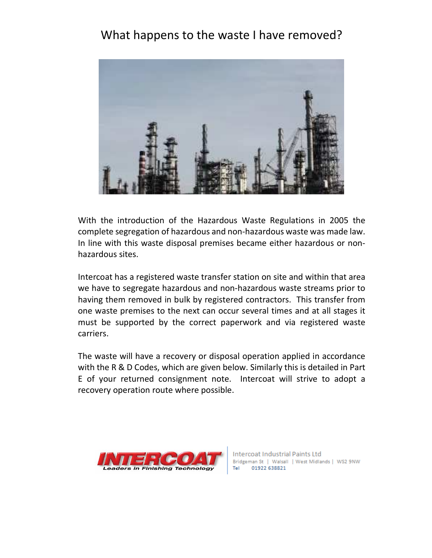## What happens to the waste I have removed?



With the introduction of the Hazardous Waste Regulations in 2005 the complete segregation of hazardous and non-hazardous waste was made law. In line with this waste disposal premises became either hazardous or nonhazardous sites.

Intercoat has a registered waste transfer station on site and within that area we have to segregate hazardous and non-hazardous waste streams prior to having them removed in bulk by registered contractors. This transfer from one waste premises to the next can occur several times and at all stages it must be supported by the correct paperwork and via registered waste carriers.

The waste will have a recovery or disposal operation applied in accordance with the R & D Codes, which are given below. Similarly this is detailed in Part E of your returned consignment note. Intercoat will strive to adopt a recovery operation route where possible.